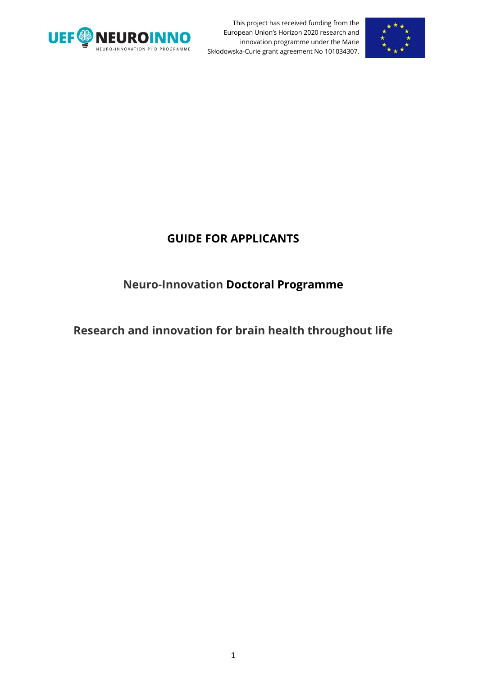



## **GUIDE FOR APPLICANTS**

## **Neuro-Innovation Doctoral Programme**

# **Research and innovation for brain health throughout life**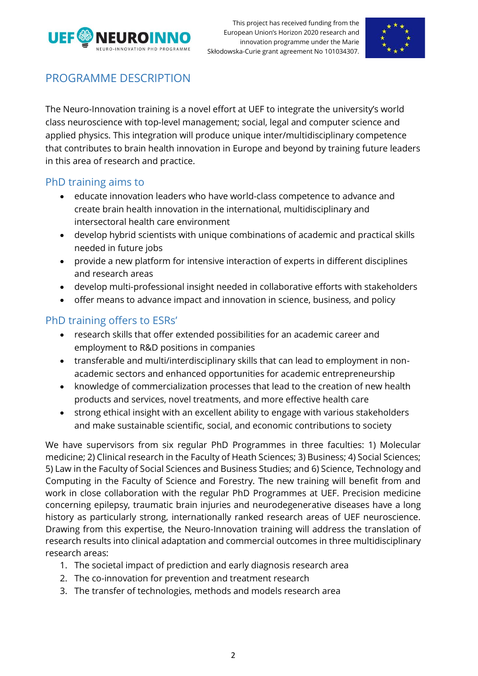



## PROGRAMME DESCRIPTION

The Neuro-Innovation training is a novel effort at UEF to integrate the university's world class neuroscience with top-level management; social, legal and computer science and applied physics. This integration will produce unique inter/multidisciplinary competence that contributes to brain health innovation in Europe and beyond by training future leaders in this area of research and practice.

#### PhD training aims to

- educate innovation leaders who have world-class competence to advance and create brain health innovation in the international, multidisciplinary and intersectoral health care environment
- develop hybrid scientists with unique combinations of academic and practical skills needed in future jobs
- provide a new platform for intensive interaction of experts in different disciplines and research areas
- develop multi-professional insight needed in collaborative efforts with stakeholders
- offer means to advance impact and innovation in science, business, and policy

## PhD training offers to ESRs'

- research skills that offer extended possibilities for an academic career and employment to R&D positions in companies
- transferable and multi/interdisciplinary skills that can lead to employment in nonacademic sectors and enhanced opportunities for academic entrepreneurship
- knowledge of commercialization processes that lead to the creation of new health products and services, novel treatments, and more effective health care
- strong ethical insight with an excellent ability to engage with various stakeholders and make sustainable scientific, social, and economic contributions to society

We have supervisors from six regular PhD Programmes in three faculties: 1) Molecular medicine; 2) Clinical research in the Faculty of Heath Sciences; 3) Business; 4) Social Sciences; 5) Law in the Faculty of Social Sciences and Business Studies; and 6) Science, Technology and Computing in the Faculty of Science and Forestry. The new training will benefit from and work in close collaboration with the regular PhD Programmes at UEF. Precision medicine concerning epilepsy, traumatic brain injuries and neurodegenerative diseases have a long history as particularly strong, internationally ranked research areas of UEF neuroscience. Drawing from this expertise, the Neuro-Innovation training will address the translation of research results into clinical adaptation and commercial outcomes in three multidisciplinary research areas:

- 1. The societal impact of prediction and early diagnosis research area
- 2. The co-innovation for prevention and treatment research
- 3. The transfer of technologies, methods and models research area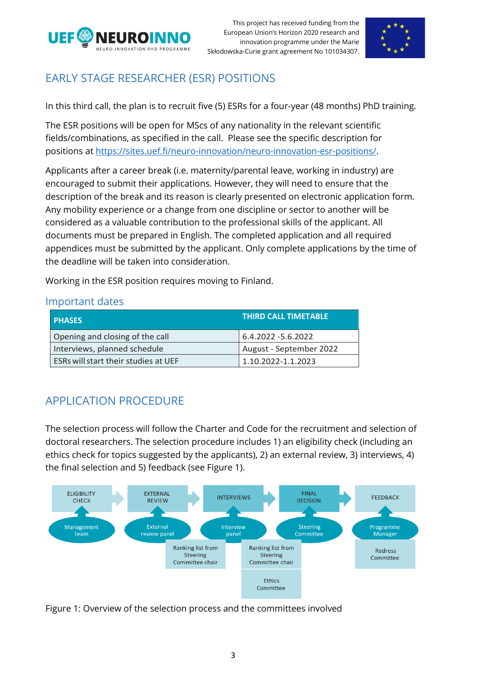



# EARLY STAGE RESEARCHER (ESR) POSITIONS

In this third call, the plan is to recruit five (5) ESRs for a four-year (48 months) PhD training.

The ESR positions will be open for MScs of any nationality in the relevant scientific fields/combinations, as specified in the call. Please see the specific description for positions at [https://sites.uef.fi/neuro-innovation/neuro-innovation-esr-positions/.](https://sites.uef.fi/neuro-innovation/neuro-innovation-esr-positions/)

Applicants after a career break (i.e. maternity/parental leave, working in industry) are encouraged to submit their applications. However, they will need to ensure that the description of the break and its reason is clearly presented on electronic application form. Any mobility experience or a change from one discipline or sector to another will be considered as a valuable contribution to the professional skills of the applicant. All documents must be prepared in English. The completed application and all required appendices must be submitted by the applicant. Only complete applications by the time of the deadline will be taken into consideration.

Working in the ESR position requires moving to Finland.

#### Important dates

| <b>PHASES</b>                        | <b>THIRD CALL TIMETABLE</b> |
|--------------------------------------|-----------------------------|
| Opening and closing of the call      | 6.4.2022 -5.6.2022          |
| Interviews, planned schedule         | August - September 2022     |
| ESRs will start their studies at UEF | 1.10.2022-1.1.2023          |

# APPLICATION PROCEDURE

The selection process will follow the Charter and Code for the recruitment and selection of doctoral researchers. The selection procedure includes 1) an eligibility check (including an ethics check for topics suggested by the applicants), 2) an external review, 3) interviews, 4) the final selection and 5) feedback (see Figure 1).



Figure 1: Overview of the selection process and the committees involved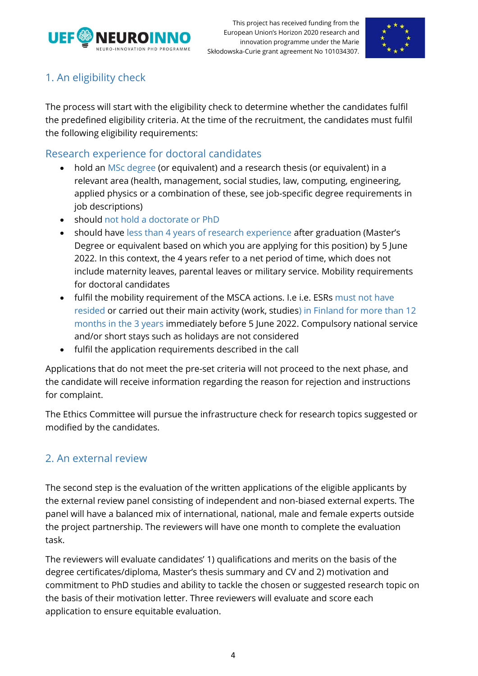



## 1. An eligibility check

The process will start with the eligibility check to determine whether the candidates fulfil the predefined eligibility criteria. At the time of the recruitment, the candidates must fulfil the following eligibility requirements:

### Research experience for doctoral candidates

- hold an MSc degree (or equivalent) and a research thesis (or equivalent) in a relevant area (health, management, social studies, law, computing, engineering, applied physics or a combination of these, see job-specific degree requirements in job descriptions)
- should not hold a doctorate or PhD
- should have less than 4 years of research experience after graduation (Master's Degree or equivalent based on which you are applying for this position) by 5 June 2022. In this context, the 4 years refer to a net period of time, which does not include maternity leaves, parental leaves or military service. Mobility requirements for doctoral candidates
- fulfil the mobility requirement of the MSCA actions. I.e i.e. ESRs must not have resided or carried out their main activity (work, studies) in Finland for more than 12 months in the 3 years immediately before 5 June 2022. Compulsory national service and/or short stays such as holidays are not considered
- fulfil the application requirements described in the call

Applications that do not meet the pre-set criteria will not proceed to the next phase, and the candidate will receive information regarding the reason for rejection and instructions for complaint.

The Ethics Committee will pursue the infrastructure check for research topics suggested or modified by the candidates.

### 2. An external review

The second step is the evaluation of the written applications of the eligible applicants by the external review panel consisting of independent and non-biased external experts. The panel will have a balanced mix of international, national, male and female experts outside the project partnership. The reviewers will have one month to complete the evaluation task.

The reviewers will evaluate candidates' 1) qualifications and merits on the basis of the degree certificates/diploma, Master's thesis summary and CV and 2) motivation and commitment to PhD studies and ability to tackle the chosen or suggested research topic on the basis of their motivation letter. Three reviewers will evaluate and score each application to ensure equitable evaluation.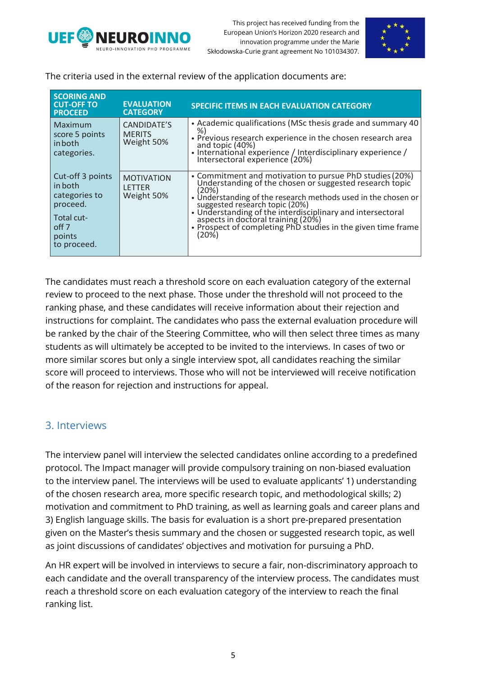



The criteria used in the external review of the application documents are:

| <b>SCORING AND</b><br><b>CUT-OFF TO</b><br><b>PROCEED</b>                                                           | <b>EVALUATION</b><br><b>CATEGORY</b>             | <b>SPECIFIC ITEMS IN EACH EVALUATION CATEGORY</b>                                                                                                                                                                                                                                                                                                                                                           |
|---------------------------------------------------------------------------------------------------------------------|--------------------------------------------------|-------------------------------------------------------------------------------------------------------------------------------------------------------------------------------------------------------------------------------------------------------------------------------------------------------------------------------------------------------------------------------------------------------------|
| Maximum<br>score 5 points<br>in both<br>categories.                                                                 | CANDIDATE'S<br><b>MERITS</b><br>Weight 50%       | • Academic qualifications (MSc thesis grade and summary 40<br>%)<br>• Previous research experience in the chosen research area<br>and topic (40%)<br>• International experience / Interdisciplinary experience /<br>Intersectoral experience (20%)                                                                                                                                                          |
| Cut-off 3 points<br>in both<br>categories to<br>proceed.<br>Total cut-<br>off <sub>7</sub><br>points<br>to proceed. | <b>MOTIVATION</b><br><b>LETTER</b><br>Weight 50% | • Commitment and motivation to pursue PhD studies (20%)<br>Understanding of the chosen or suggested research topic<br>(20%)<br>• Understanding of the research methods used in the chosen or<br>suggested research topic (20%)<br>• Understanding of the interdisciplinary and intersectoral<br>aspects in doctoral training (20%)<br>• Prospect of completing PhD studies in the given time frame<br>(20%) |

The candidates must reach a threshold score on each evaluation category of the external review to proceed to the next phase. Those under the threshold will not proceed to the ranking phase, and these candidates will receive information about their rejection and instructions for complaint. The candidates who pass the external evaluation procedure will be ranked by the chair of the Steering Committee, who will then select three times as many students as will ultimately be accepted to be invited to the interviews. In cases of two or more similar scores but only a single interview spot, all candidates reaching the similar score will proceed to interviews. Those who will not be interviewed will receive notification of the reason for rejection and instructions for appeal.

### 3. Interviews

The interview panel will interview the selected candidates online according to a predefined protocol. The Impact manager will provide compulsory training on non-biased evaluation to the interview panel. The interviews will be used to evaluate applicants' 1) understanding of the chosen research area, more specific research topic, and methodological skills; 2) motivation and commitment to PhD training, as well as learning goals and career plans and 3) English language skills. The basis for evaluation is a short pre-prepared presentation given on the Master's thesis summary and the chosen or suggested research topic, as well as joint discussions of candidates' objectives and motivation for pursuing a PhD.

An HR expert will be involved in interviews to secure a fair, non-discriminatory approach to each candidate and the overall transparency of the interview process. The candidates must reach a threshold score on each evaluation category of the interview to reach the final ranking list.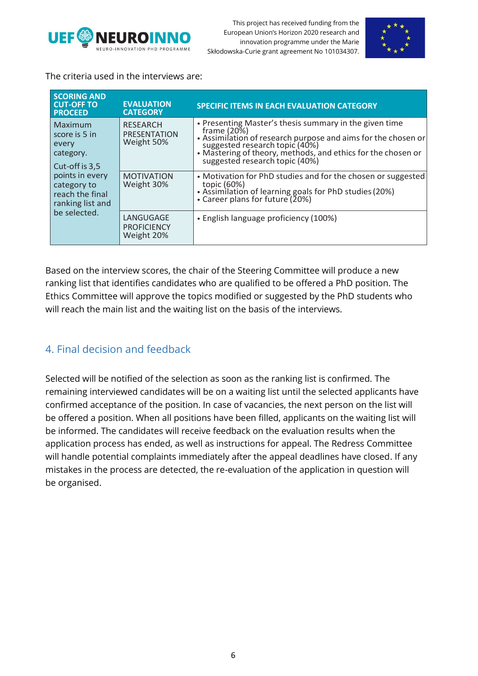



The criteria used in the interviews are:

| <b>SCORING AND</b><br><b>CUT-OFF TO</b><br><b>PROCEED</b>             | <b>EVALUATION</b><br><b>CATEGORY</b>          | <b>SPECIFIC ITEMS IN EACH EVALUATION CATEGORY</b>                                                                                                                                                                                                                             |
|-----------------------------------------------------------------------|-----------------------------------------------|-------------------------------------------------------------------------------------------------------------------------------------------------------------------------------------------------------------------------------------------------------------------------------|
| Maximum<br>score is 5 in<br>every<br>category.<br>Cut-off is 3,5      | <b>RESEARCH</b><br>PRESENTATION<br>Weight 50% | • Presenting Master's thesis summary in the given time<br>frame $(20\%)$<br>• Assimilation of research purpose and aims for the chosen or<br>suggested research topic (40%)<br>• Mastering of theory, methods, and ethics for the chosen or<br>suggested research topic (40%) |
| points in every<br>category to<br>reach the final<br>ranking list and | <b>MOTIVATION</b><br>Weight 30%               | • Motivation for PhD studies and for the chosen or suggested<br>topic (60%)<br>• Assimilation of learning goals for PhD studies (20%)<br>• Career plans for future (20%)                                                                                                      |
| be selected.                                                          | LANGUGAGE<br><b>PROFICIENCY</b><br>Weight 20% | • English language proficiency (100%)                                                                                                                                                                                                                                         |

Based on the interview scores, the chair of the Steering Committee will produce a new ranking list that identifies candidates who are qualified to be offered a PhD position. The Ethics Committee will approve the topics modified or suggested by the PhD students who will reach the main list and the waiting list on the basis of the interviews.

### 4. Final decision and feedback

Selected will be notified of the selection as soon as the ranking list is confirmed. The remaining interviewed candidates will be on a waiting list until the selected applicants have confirmed acceptance of the position. In case of vacancies, the next person on the list will be offered a position. When all positions have been filled, applicants on the waiting list will be informed. The candidates will receive feedback on the evaluation results when the application process has ended, as well as instructions for appeal. The Redress Committee will handle potential complaints immediately after the appeal deadlines have closed. If any mistakes in the process are detected, the re-evaluation of the application in question will be organised.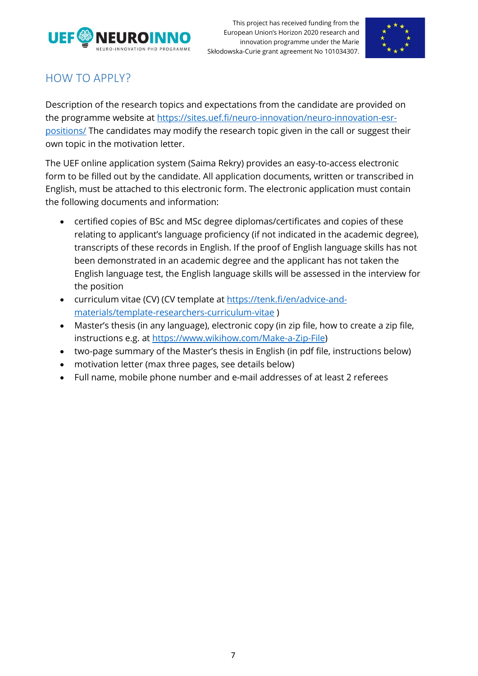



## HOW TO APPLY?

Description of the research topics and expectations from the candidate are provided on the programme website at [https://sites.uef.fi/neuro-innovation/neuro-innovation-esr](https://sites.uef.fi/neuro-innovation/neuro-innovation-esr-positions/)[positions/](https://sites.uef.fi/neuro-innovation/neuro-innovation-esr-positions/) The candidates may modify the research topic given in the call or suggest their own topic in the motivation letter.

The UEF online application system (Saima Rekry) provides an easy-to-access electronic form to be filled out by the candidate. All application documents, written or transcribed in English, must be attached to this electronic form. The electronic application must contain the following documents and information:

- certified copies of BSc and MSc degree diplomas/certificates and copies of these relating to applicant's language proficiency (if not indicated in the academic degree), transcripts of these records in English. If the proof of English language skills has not been demonstrated in an academic degree and the applicant has not taken the English language test, the English language skills will be assessed in the interview for the position
- curriculum vitae (CV) (CV template at [https://tenk.fi/en/advice-and](https://tenk.fi/en/advice-and-materials/template-researchers-curriculum-vitae)[materials/template-researchers-curriculum-vitae](https://tenk.fi/en/advice-and-materials/template-researchers-curriculum-vitae) )
- Master's thesis (in any language), electronic copy (in zip file, how to create a zip file, instructions e.g. at [https://www.wikihow.com/Make-a-Zip-File\)](https://www.wikihow.com/Make-a-Zip-File)
- two-page summary of the Master's thesis in English (in pdf file, instructions below)
- motivation letter (max three pages, see details below)
- Full name, mobile phone number and e-mail addresses of at least 2 referees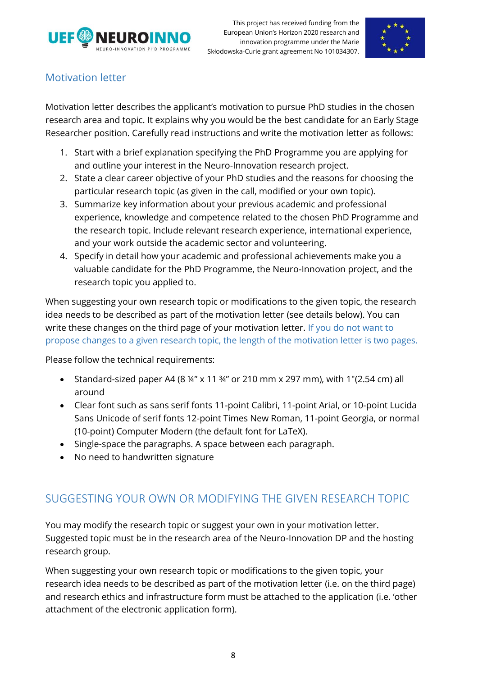



### Motivation letter

Motivation letter describes the applicant's motivation to pursue PhD studies in the chosen research area and topic. It explains why you would be the best candidate for an Early Stage Researcher position. Carefully read instructions and write the motivation letter as follows:

- 1. Start with a brief explanation specifying the PhD Programme you are applying for and outline your interest in the Neuro-Innovation research project.
- 2. State a clear career objective of your PhD studies and the reasons for choosing the particular research topic (as given in the call, modified or your own topic).
- 3. Summarize key information about your previous academic and professional experience, knowledge and competence related to the chosen PhD Programme and the research topic. Include relevant research experience, international experience, and your work outside the academic sector and volunteering.
- 4. Specify in detail how your academic and professional achievements make you a valuable candidate for the PhD Programme, the Neuro-Innovation project, and the research topic you applied to.

When suggesting your own research topic or modifications to the given topic, the research idea needs to be described as part of the motivation letter (see details below). You can write these changes on the third page of your motivation letter. If you do not want to propose changes to a given research topic, the length of the motivation letter is two pages.

Please follow the technical requirements:

- Standard-sized paper A4 (8 ¼" x 11 ¾" or 210 mm x 297 mm), with 1"(2.54 cm) all around
- Clear font such as sans serif fonts 11-point Calibri, 11-point Arial, or 10-point Lucida Sans Unicode of serif fonts 12-point Times New Roman, 11-point Georgia, or normal (10-point) Computer Modern (the default font for LaTeX).
- Single-space the paragraphs. A space between each paragraph.
- No need to handwritten signature

## SUGGESTING YOUR OWN OR MODIFYING THE GIVEN RESEARCH TOPIC

You may modify the research topic or suggest your own in your motivation letter. Suggested topic must be in the research area of the Neuro-Innovation DP and the hosting research group.

When suggesting your own research topic or modifications to the given topic, your research idea needs to be described as part of the motivation letter (i.e. on the third page) and research ethics and infrastructure form must be attached to the application (i.e. 'other attachment of the electronic application form).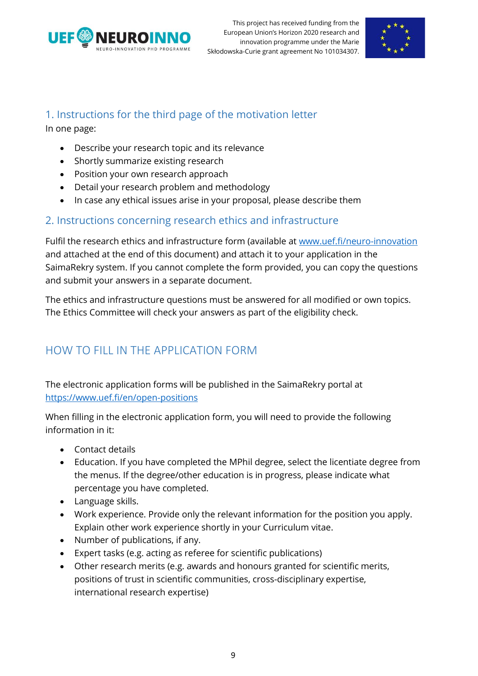



### 1. Instructions for the third page of the motivation letter

In one page:

- Describe your research topic and its relevance
- Shortly summarize existing research
- Position your own research approach
- Detail your research problem and methodology
- In case any ethical issues arise in your proposal, please describe them

### 2. Instructions concerning research ethics and infrastructure

Fulfil the research ethics and infrastructure form (available at [www.uef.fi/neuro-innovation](http://www.uef.fi/neuro-innovation) and attached at the end of this document) and attach it to your application in the SaimaRekry system. If you cannot complete the form provided, you can copy the questions and submit your answers in a separate document.

The ethics and infrastructure questions must be answered for all modified or own topics. The Ethics Committee will check your answers as part of the eligibility check.

# HOW TO FILL IN THE APPLICATION FORM

The electronic application forms will be published in the SaimaRekry portal at <https://www.uef.fi/en/open-positions>

When filling in the electronic application form, you will need to provide the following information in it:

- Contact details
- Education. If you have completed the MPhil degree, select the licentiate degree from the menus. If the degree/other education is in progress, please indicate what percentage you have completed.
- Language skills.
- Work experience. Provide only the relevant information for the position you apply. Explain other work experience shortly in your Curriculum vitae.
- Number of publications, if any.
- Expert tasks (e.g. acting as referee for scientific publications)
- Other research merits (e.g. awards and honours granted for scientific merits, positions of trust in scientific communities, cross-disciplinary expertise, international research expertise)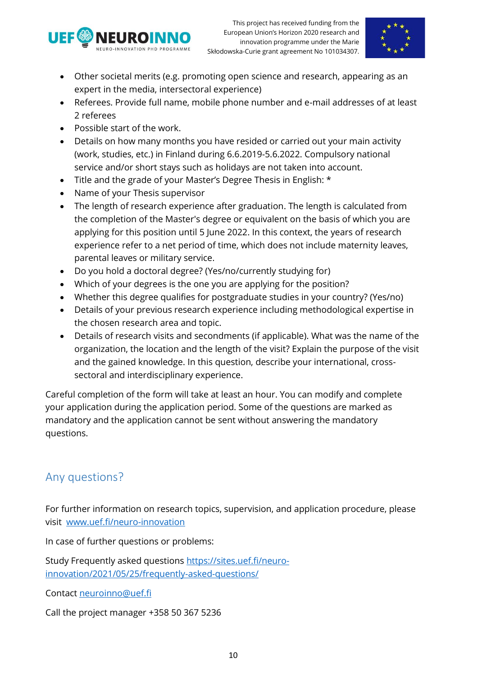



- Other societal merits (e.g. promoting open science and research, appearing as an expert in the media, intersectoral experience)
- Referees. Provide full name, mobile phone number and e-mail addresses of at least 2 referees
- Possible start of the work.
- Details on how many months you have resided or carried out your main activity (work, studies, etc.) in Finland during 6.6.2019-5.6.2022. Compulsory national service and/or short stays such as holidays are not taken into account.
- Title and the grade of your Master's Degree Thesis in English: \*
- Name of your Thesis supervisor
- The length of research experience after graduation. The length is calculated from the completion of the Master's degree or equivalent on the basis of which you are applying for this position until 5 June 2022. In this context, the years of research experience refer to a net period of time, which does not include maternity leaves, parental leaves or military service.
- Do you hold a doctoral degree? (Yes/no/currently studying for)
- Which of your degrees is the one you are applying for the position?
- Whether this degree qualifies for postgraduate studies in your country? (Yes/no)
- Details of your previous research experience including methodological expertise in the chosen research area and topic.
- Details of research visits and secondments (if applicable). What was the name of the organization, the location and the length of the visit? Explain the purpose of the visit and the gained knowledge. In this question, describe your international, crosssectoral and interdisciplinary experience.

Careful completion of the form will take at least an hour. You can modify and complete your application during the application period. Some of the questions are marked as mandatory and the application cannot be sent without answering the mandatory questions.

# Any questions?

For further information on research topics, supervision, and application procedure, please visit [www.uef.fi/neuro-innovation](http://www.uef.fi/neuro-innovation)

In case of further questions or problems:

Study Frequently asked questions [https://sites.uef.fi/neuro](https://sites.uef.fi/neuro-innovation/2021/05/25/frequently-asked-questions/)[innovation/2021/05/25/frequently-asked-questions/](https://sites.uef.fi/neuro-innovation/2021/05/25/frequently-asked-questions/)

Contact [neuroinno@uef.fi](mailto:neuroinno@uef.fi)

Call the project manager +358 50 367 5236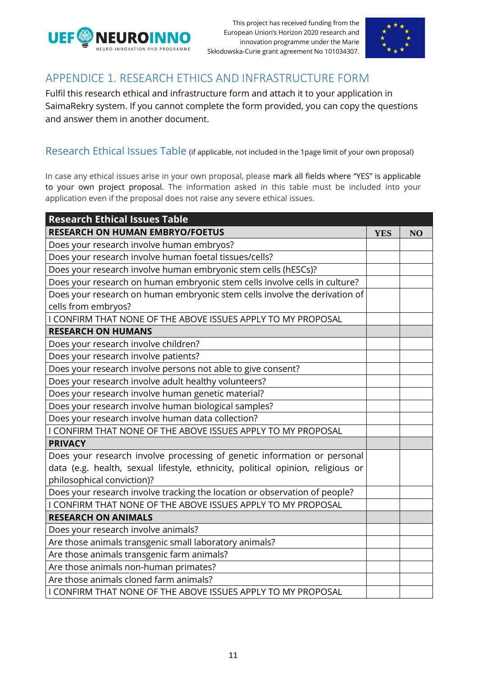



## APPENDICE 1. RESEARCH ETHICS AND INFRASTRUCTURE FORM

Fulfil this research ethical and infrastructure form and attach it to your application in SaimaRekry system. If you cannot complete the form provided, you can copy the questions and answer them in another document.

#### Research Ethical Issues Table (if applicable, not included in the 1 page limit of your own proposal)

In case any ethical issues arise in your own proposal, please mark all fields where "YES" is applicable to your own project proposal. The information asked in this table must be included into your application even if the proposal does not raise any severe ethical issues.

| <b>Research Ethical Issues Table</b>                                            |            |    |
|---------------------------------------------------------------------------------|------------|----|
| <b>RESEARCH ON HUMAN EMBRYO/FOETUS</b>                                          | <b>YES</b> | NO |
| Does your research involve human embryos?                                       |            |    |
| Does your research involve human foetal tissues/cells?                          |            |    |
| Does your research involve human embryonic stem cells (hESCs)?                  |            |    |
| Does your research on human embryonic stem cells involve cells in culture?      |            |    |
| Does your research on human embryonic stem cells involve the derivation of      |            |    |
| cells from embryos?                                                             |            |    |
| I CONFIRM THAT NONE OF THE ABOVE ISSUES APPLY TO MY PROPOSAL                    |            |    |
| <b>RESEARCH ON HUMANS</b>                                                       |            |    |
| Does your research involve children?                                            |            |    |
| Does your research involve patients?                                            |            |    |
| Does your research involve persons not able to give consent?                    |            |    |
| Does your research involve adult healthy volunteers?                            |            |    |
| Does your research involve human genetic material?                              |            |    |
| Does your research involve human biological samples?                            |            |    |
| Does your research involve human data collection?                               |            |    |
| I CONFIRM THAT NONE OF THE ABOVE ISSUES APPLY TO MY PROPOSAL                    |            |    |
| <b>PRIVACY</b>                                                                  |            |    |
| Does your research involve processing of genetic information or personal        |            |    |
| data (e.g. health, sexual lifestyle, ethnicity, political opinion, religious or |            |    |
| philosophical conviction)?                                                      |            |    |
| Does your research involve tracking the location or observation of people?      |            |    |
| I CONFIRM THAT NONE OF THE ABOVE ISSUES APPLY TO MY PROPOSAL                    |            |    |
| <b>RESEARCH ON ANIMALS</b>                                                      |            |    |
| Does your research involve animals?                                             |            |    |
| Are those animals transgenic small laboratory animals?                          |            |    |
| Are those animals transgenic farm animals?                                      |            |    |
| Are those animals non-human primates?                                           |            |    |
| Are those animals cloned farm animals?                                          |            |    |
| I CONFIRM THAT NONE OF THE ABOVE ISSUES APPLY TO MY PROPOSAL                    |            |    |